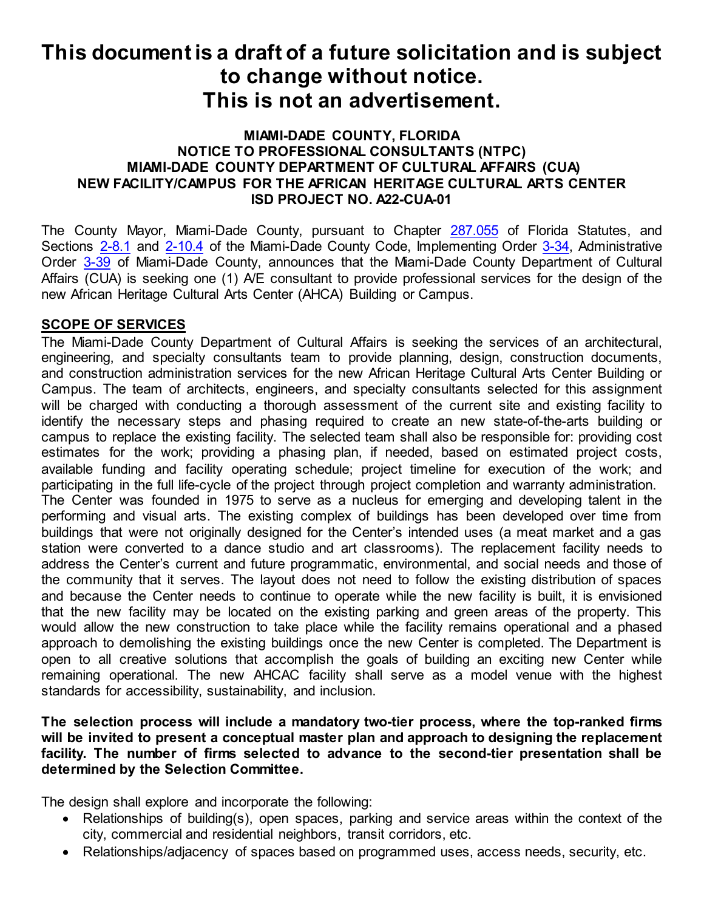#### **MIAMI-DADE COUNTY, FLORIDA NOTICE TO PROFESSIONAL CONSULTANTS (NTPC) MIAMI-DADE COUNTY DEPARTMENT OF CULTURAL AFFAIRS (CUA) NEW FACILITY/CAMPUS FOR THE AFRICAN HERITAGE CULTURAL ARTS CENTER ISD PROJECT NO. A22-CUA-01**

The County Mayor, Miami-Dade County, pursuant to Chapter [287.055](http://www.flsenate.gov/laws/statutes/2010/287.055) of Florida Statutes, and Sections [2-8.1](https://library.municode.com/fl/miami_-_dade_county/codes/code_of_ordinances?nodeId=PTIIICOOR_CH2AD_ARTIINGE_S2-8.1COPUGE) and [2-10.4](https://www.municode.com/library/fl/miami_-_dade_county/codes/code_of_ordinances?nodeId=PTIIICOOR_CH2AD_ARTIINGE_S2-10.4ACPRARENLAARLASUMASE) of the Miami-Dade County Code, Implementing Orde[r 3-34,](http://www.miamidade.gov/aopdfdoc/aopdf/pdffiles/IO3-34.pdf) Administrative Order [3-39](http://www.miamidade.gov/aopdfdoc/aopdf/pdffiles/AO3-39.pdf) of Miami-Dade County, announces that the Miami-Dade County Department of Cultural Affairs (CUA) is seeking one (1) A/E consultant to provide professional services for the design of the new African Heritage Cultural Arts Center (AHCA) Building or Campus.

### **SCOPE OF SERVICES**

The Miami-Dade County Department of Cultural Affairs is seeking the services of an architectural, engineering, and specialty consultants team to provide planning, design, construction documents, and construction administration services for the new African Heritage Cultural Arts Center Building or Campus. The team of architects, engineers, and specialty consultants selected for this assignment will be charged with conducting a thorough assessment of the current site and existing facility to identify the necessary steps and phasing required to create an new state-of-the-arts building or campus to replace the existing facility. The selected team shall also be responsible for: providing cost estimates for the work; providing a phasing plan, if needed, based on estimated project costs, available funding and facility operating schedule; project timeline for execution of the work; and participating in the full life-cycle of the project through project completion and warranty administration. The Center was founded in 1975 to serve as a nucleus for emerging and developing talent in the performing and visual arts. The existing complex of buildings has been developed over time from buildings that were not originally designed for the Center's intended uses (a meat market and a gas station were converted to a dance studio and art classrooms). The replacement facility needs to address the Center's current and future programmatic, environmental, and social needs and those of the community that it serves. The layout does not need to follow the existing distribution of spaces and because the Center needs to continue to operate while the new facility is built, it is envisioned that the new facility may be located on the existing parking and green areas of the property. This would allow the new construction to take place while the facility remains operational and a phased approach to demolishing the existing buildings once the new Center is completed. The Department is open to all creative solutions that accomplish the goals of building an exciting new Center while remaining operational. The new AHCAC facility shall serve as a model venue with the highest standards for accessibility, sustainability, and inclusion.

#### **The selection process will include a mandatory two-tier process, where the top-ranked firms will be invited to present a conceptual master plan and approach to designing the replacement facility. The number of firms selected to advance to the second-tier presentation shall be determined by the Selection Committee.**

The design shall explore and incorporate the following:

- Relationships of building(s), open spaces, parking and service areas within the context of the city, commercial and residential neighbors, transit corridors, etc.
- Relationships/adjacency of spaces based on programmed uses, access needs, security, etc.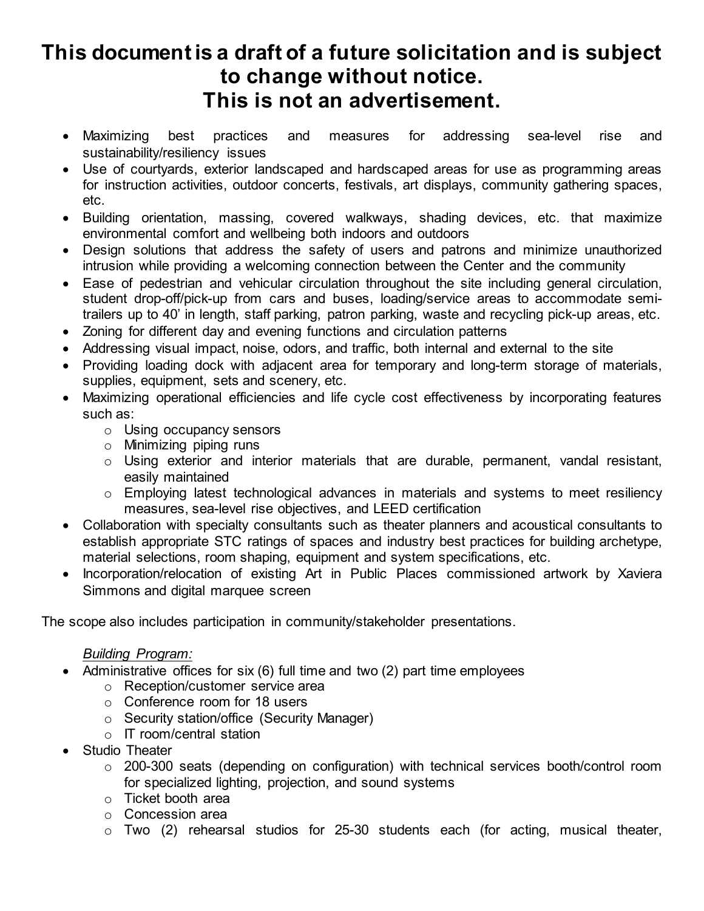- Maximizing best practices and measures for addressing sea-level rise and sustainability/resiliency issues
- Use of courtyards, exterior landscaped and hardscaped areas for use as programming areas for instruction activities, outdoor concerts, festivals, art displays, community gathering spaces, etc.
- Building orientation, massing, covered walkways, shading devices, etc. that maximize environmental comfort and wellbeing both indoors and outdoors
- Design solutions that address the safety of users and patrons and minimize unauthorized intrusion while providing a welcoming connection between the Center and the community
- Ease of pedestrian and vehicular circulation throughout the site including general circulation, student drop-off/pick-up from cars and buses, loading/service areas to accommodate semitrailers up to 40' in length, staff parking, patron parking, waste and recycling pick-up areas, etc.
- Zoning for different day and evening functions and circulation patterns
- Addressing visual impact, noise, odors, and traffic, both internal and external to the site
- Providing loading dock with adjacent area for temporary and long-term storage of materials, supplies, equipment, sets and scenery, etc.
- Maximizing operational efficiencies and life cycle cost effectiveness by incorporating features such as:
	- o Using occupancy sensors
	- o Minimizing piping runs
	- o Using exterior and interior materials that are durable, permanent, vandal resistant, easily maintained
	- o Employing latest technological advances in materials and systems to meet resiliency measures, sea-level rise objectives, and LEED certification
- Collaboration with specialty consultants such as theater planners and acoustical consultants to establish appropriate STC ratings of spaces and industry best practices for building archetype, material selections, room shaping, equipment and system specifications, etc.
- Incorporation/relocation of existing Art in Public Places commissioned artwork by Xaviera Simmons and digital marquee screen

The scope also includes participation in community/stakeholder presentations.

### *Building Program:*

- Administrative offices for six (6) full time and two (2) part time employees
	- o Reception/customer service area
	- o Conference room for 18 users
	- o Security station/office (Security Manager)
	- o IT room/central station
- Studio Theater
	- o 200-300 seats (depending on configuration) with technical services booth/control room for specialized lighting, projection, and sound systems
	- o Ticket booth area
	- o Concession area
	- o Two (2) rehearsal studios for 25-30 students each (for acting, musical theater,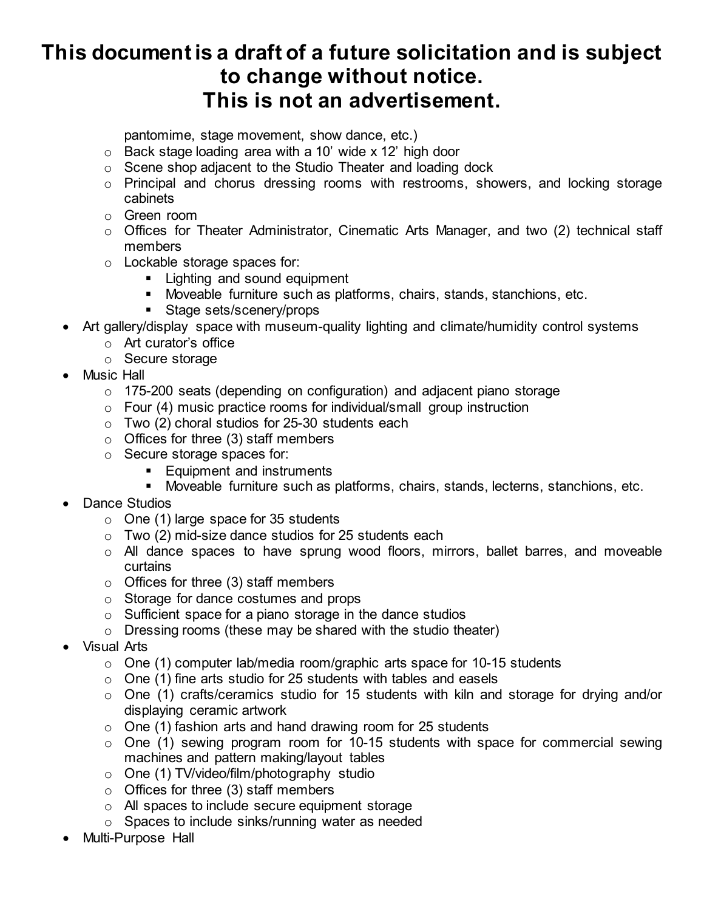pantomime, stage movement, show dance, etc.)

- o Back stage loading area with a 10' wide x 12' high door
- o Scene shop adjacent to the Studio Theater and loading dock
- o Principal and chorus dressing rooms with restrooms, showers, and locking storage cabinets
- o Green room
- o Offices for Theater Administrator, Cinematic Arts Manager, and two (2) technical staff members
- o Lockable storage spaces for:
	- **Example 1** Lighting and sound equipment
	- Moveable furniture such as platforms, chairs, stands, stanchions, etc.
	- Stage sets/scenery/props
- Art gallery/display space with museum-quality lighting and climate/humidity control systems
	- o Art curator's office
	- o Secure storage
- Music Hall
	- o 175-200 seats (depending on configuration) and adjacent piano storage
	- o Four (4) music practice rooms for individual/small group instruction
	- $\circ$  Two (2) choral studios for 25-30 students each
	- $\circ$  Offices for three (3) staff members
	- o Secure storage spaces for:
		- **Equipment and instruments**
		- Moveable furniture such as platforms, chairs, stands, lecterns, stanchions, etc.
- Dance Studios
	- $\circ$  One (1) large space for 35 students
	- $\circ$  Two (2) mid-size dance studios for 25 students each
	- o All dance spaces to have sprung wood floors, mirrors, ballet barres, and moveable curtains
	- $\circ$  Offices for three (3) staff members
	- o Storage for dance costumes and props
	- $\circ$  Sufficient space for a piano storage in the dance studios
	- o Dressing rooms (these may be shared with the studio theater)
- Visual Arts
	- $\circ$  One (1) computer lab/media room/graphic arts space for 10-15 students
	- $\circ$  One (1) fine arts studio for 25 students with tables and easels
	- o One (1) crafts/ceramics studio for 15 students with kiln and storage for drying and/or displaying ceramic artwork
	- o One (1) fashion arts and hand drawing room for 25 students
	- $\circ$  One (1) sewing program room for 10-15 students with space for commercial sewing machines and pattern making/layout tables
	- o One (1) TV/video/film/photography studio
	- $\circ$  Offices for three (3) staff members
	- o All spaces to include secure equipment storage
	- $\circ$  Spaces to include sinks/running water as needed
- Multi-Purpose Hall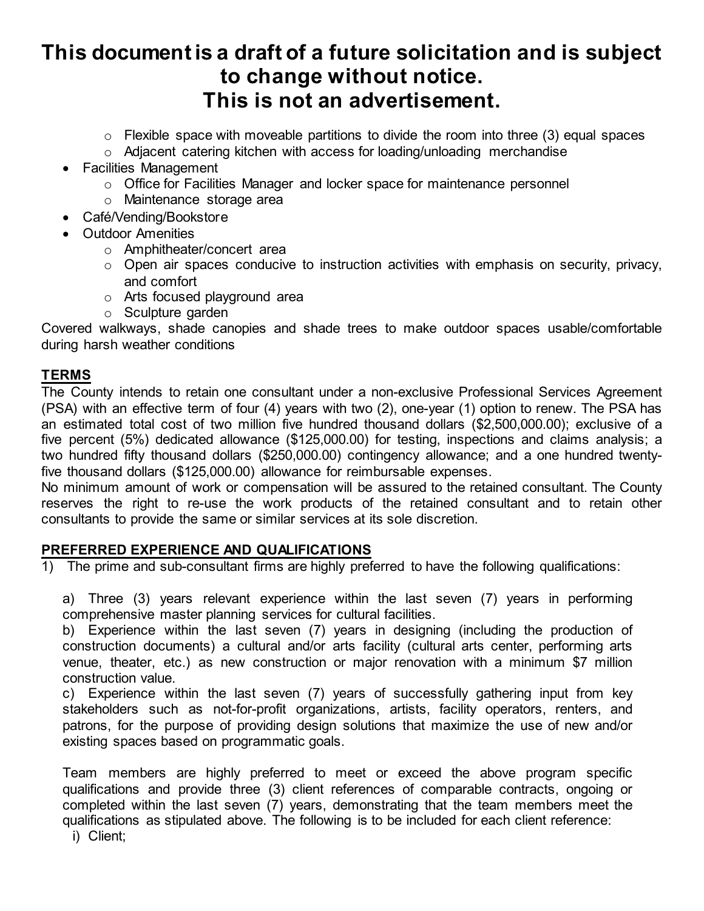- $\circ$  Flexible space with moveable partitions to divide the room into three (3) equal spaces
- o Adjacent catering kitchen with access for loading/unloading merchandise
- Facilities Management
	- o Office for Facilities Manager and locker space for maintenance personnel
	- o Maintenance storage area
- Café/Vending/Bookstore
- Outdoor Amenities
	- o Amphitheater/concert area
	- o Open air spaces conducive to instruction activities with emphasis on security, privacy, and comfort
	- o Arts focused playground area
	- o Sculpture garden

Covered walkways, shade canopies and shade trees to make outdoor spaces usable/comfortable during harsh weather conditions

#### **TERMS**

The County intends to retain one consultant under a non-exclusive Professional Services Agreement (PSA) with an effective term of four (4) years with two (2), one-year (1) option to renew. The PSA has an estimated total cost of two million five hundred thousand dollars (\$2,500,000.00); exclusive of a five percent (5%) dedicated allowance (\$125,000.00) for testing, inspections and claims analysis; a two hundred fifty thousand dollars (\$250,000.00) contingency allowance; and a one hundred twentyfive thousand dollars (\$125,000.00) allowance for reimbursable expenses.

No minimum amount of work or compensation will be assured to the retained consultant. The County reserves the right to re-use the work products of the retained consultant and to retain other consultants to provide the same or similar services at its sole discretion.

#### **PREFERRED EXPERIENCE AND QUALIFICATIONS**

1) The prime and sub-consultant firms are highly preferred to have the following qualifications:

a) Three (3) years relevant experience within the last seven (7) years in performing comprehensive master planning services for cultural facilities.

b) Experience within the last seven (7) years in designing (including the production of construction documents) a cultural and/or arts facility (cultural arts center, performing arts venue, theater, etc.) as new construction or major renovation with a minimum \$7 million construction value.

c) Experience within the last seven (7) years of successfully gathering input from key stakeholders such as not-for-profit organizations, artists, facility operators, renters, and patrons, for the purpose of providing design solutions that maximize the use of new and/or existing spaces based on programmatic goals.

Team members are highly preferred to meet or exceed the above program specific qualifications and provide three (3) client references of comparable contracts, ongoing or completed within the last seven (7) years, demonstrating that the team members meet the qualifications as stipulated above. The following is to be included for each client reference:

i) Client;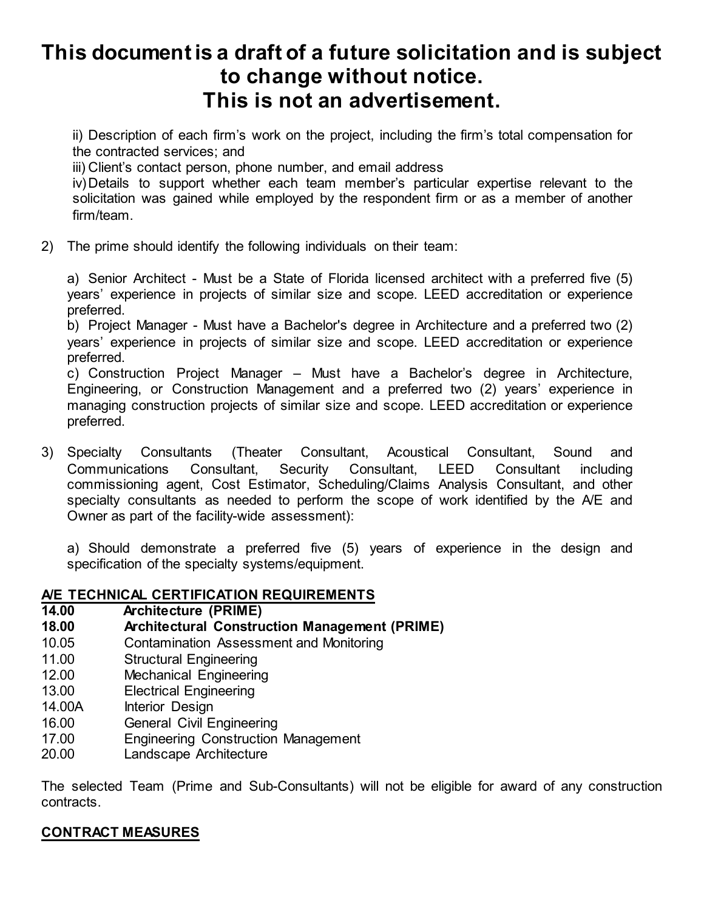ii) Description of each firm's work on the project, including the firm's total compensation for the contracted services; and

iii) Client's contact person, phone number, and email address

iv)Details to support whether each team member's particular expertise relevant to the solicitation was gained while employed by the respondent firm or as a member of another firm/team.

2) The prime should identify the following individuals on their team:

a) Senior Architect - Must be a State of Florida licensed architect with a preferred five (5) years' experience in projects of similar size and scope. LEED accreditation or experience preferred.

b) Project Manager - Must have a Bachelor's degree in Architecture and a preferred two (2) years' experience in projects of similar size and scope. LEED accreditation or experience preferred.

c) Construction Project Manager – Must have a Bachelor's degree in Architecture, Engineering, or Construction Management and a preferred two (2) years' experience in managing construction projects of similar size and scope. LEED accreditation or experience preferred.

3) Specialty Consultants (Theater Consultant, Acoustical Consultant, Sound and Communications Consultant, Security Consultant, LEED Consultant including commissioning agent, Cost Estimator, Scheduling/Claims Analysis Consultant, and other specialty consultants as needed to perform the scope of work identified by the A/E and Owner as part of the facility-wide assessment):

a) Should demonstrate a preferred five (5) years of experience in the design and specification of the specialty systems/equipment.

#### **A/E TECHNICAL CERTIFICATION REQUIREMENTS**

- **14.00 Architecture (PRIME)**
- **18.00 Architectural Construction Management (PRIME)**
- 10.05 Contamination Assessment and Monitoring
- 11.00 Structural Engineering
- 12.00 Mechanical Engineering<br>13.00 Electrical Engineering
- **Electrical Engineering**
- 14.00A Interior Design
- 16.00 General Civil Engineering
- 17.00 Engineering Construction Management
- 20.00 Landscape Architecture

The selected Team (Prime and Sub-Consultants) will not be eligible for award of any construction contracts.

#### **CONTRACT MEASURES**